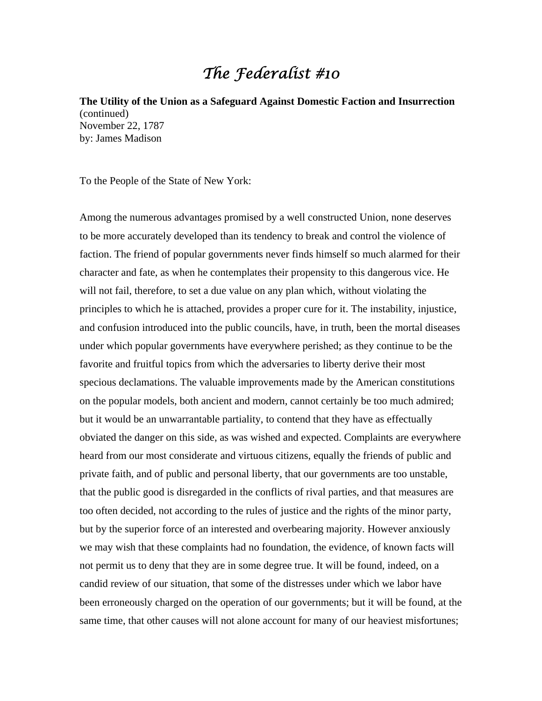## The Federalist #10

**The Utility of the Union as a Safeguard Against Domestic Faction and Insurrection** (continued) November 22, 1787 by: James Madison

To the People of the State of New York:

Among the numerous advantages promised by a well constructed Union, none deserves to be more accurately developed than its tendency to break and control the violence of faction. The friend of popular governments never finds himself so much alarmed for their character and fate, as when he contemplates their propensity to this dangerous vice. He will not fail, therefore, to set a due value on any plan which, without violating the principles to which he is attached, provides a proper cure for it. The instability, injustice, and confusion introduced into the public councils, have, in truth, been the mortal diseases under which popular governments have everywhere perished; as they continue to be the favorite and fruitful topics from which the adversaries to liberty derive their most specious declamations. The valuable improvements made by the American constitutions on the popular models, both ancient and modern, cannot certainly be too much admired; but it would be an unwarrantable partiality, to contend that they have as effectually obviated the danger on this side, as was wished and expected. Complaints are everywhere heard from our most considerate and virtuous citizens, equally the friends of public and private faith, and of public and personal liberty, that our governments are too unstable, that the public good is disregarded in the conflicts of rival parties, and that measures are too often decided, not according to the rules of justice and the rights of the minor party, but by the superior force of an interested and overbearing majority. However anxiously we may wish that these complaints had no foundation, the evidence, of known facts will not permit us to deny that they are in some degree true. It will be found, indeed, on a candid review of our situation, that some of the distresses under which we labor have been erroneously charged on the operation of our governments; but it will be found, at the same time, that other causes will not alone account for many of our heaviest misfortunes;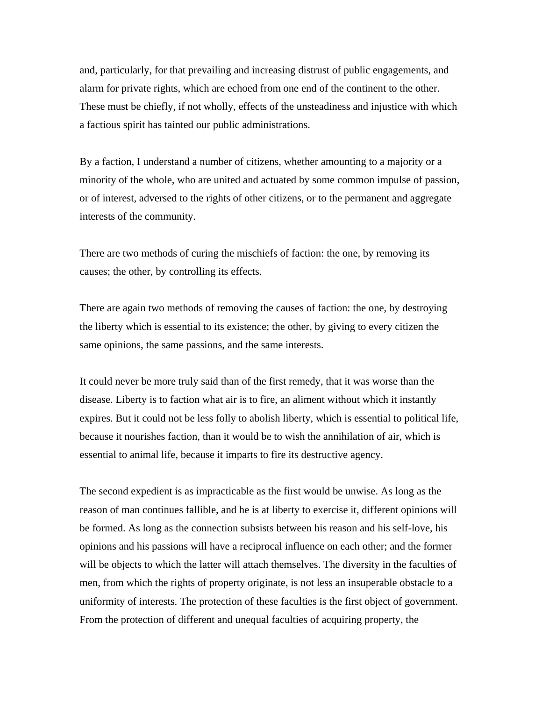and, particularly, for that prevailing and increasing distrust of public engagements, and alarm for private rights, which are echoed from one end of the continent to the other. These must be chiefly, if not wholly, effects of the unsteadiness and injustice with which a factious spirit has tainted our public administrations.

By a faction, I understand a number of citizens, whether amounting to a majority or a minority of the whole, who are united and actuated by some common impulse of passion, or of interest, adversed to the rights of other citizens, or to the permanent and aggregate interests of the community.

There are two methods of curing the mischiefs of faction: the one, by removing its causes; the other, by controlling its effects.

There are again two methods of removing the causes of faction: the one, by destroying the liberty which is essential to its existence; the other, by giving to every citizen the same opinions, the same passions, and the same interests.

It could never be more truly said than of the first remedy, that it was worse than the disease. Liberty is to faction what air is to fire, an aliment without which it instantly expires. But it could not be less folly to abolish liberty, which is essential to political life, because it nourishes faction, than it would be to wish the annihilation of air, which is essential to animal life, because it imparts to fire its destructive agency.

The second expedient is as impracticable as the first would be unwise. As long as the reason of man continues fallible, and he is at liberty to exercise it, different opinions will be formed. As long as the connection subsists between his reason and his self-love, his opinions and his passions will have a reciprocal influence on each other; and the former will be objects to which the latter will attach themselves. The diversity in the faculties of men, from which the rights of property originate, is not less an insuperable obstacle to a uniformity of interests. The protection of these faculties is the first object of government. From the protection of different and unequal faculties of acquiring property, the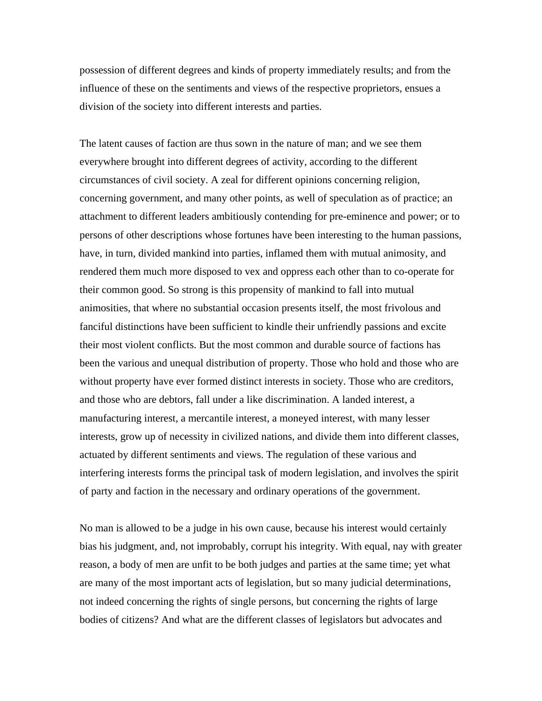possession of different degrees and kinds of property immediately results; and from the influence of these on the sentiments and views of the respective proprietors, ensues a division of the society into different interests and parties.

The latent causes of faction are thus sown in the nature of man; and we see them everywhere brought into different degrees of activity, according to the different circumstances of civil society. A zeal for different opinions concerning religion, concerning government, and many other points, as well of speculation as of practice; an attachment to different leaders ambitiously contending for pre-eminence and power; or to persons of other descriptions whose fortunes have been interesting to the human passions, have, in turn, divided mankind into parties, inflamed them with mutual animosity, and rendered them much more disposed to vex and oppress each other than to co-operate for their common good. So strong is this propensity of mankind to fall into mutual animosities, that where no substantial occasion presents itself, the most frivolous and fanciful distinctions have been sufficient to kindle their unfriendly passions and excite their most violent conflicts. But the most common and durable source of factions has been the various and unequal distribution of property. Those who hold and those who are without property have ever formed distinct interests in society. Those who are creditors, and those who are debtors, fall under a like discrimination. A landed interest, a manufacturing interest, a mercantile interest, a moneyed interest, with many lesser interests, grow up of necessity in civilized nations, and divide them into different classes, actuated by different sentiments and views. The regulation of these various and interfering interests forms the principal task of modern legislation, and involves the spirit of party and faction in the necessary and ordinary operations of the government.

No man is allowed to be a judge in his own cause, because his interest would certainly bias his judgment, and, not improbably, corrupt his integrity. With equal, nay with greater reason, a body of men are unfit to be both judges and parties at the same time; yet what are many of the most important acts of legislation, but so many judicial determinations, not indeed concerning the rights of single persons, but concerning the rights of large bodies of citizens? And what are the different classes of legislators but advocates and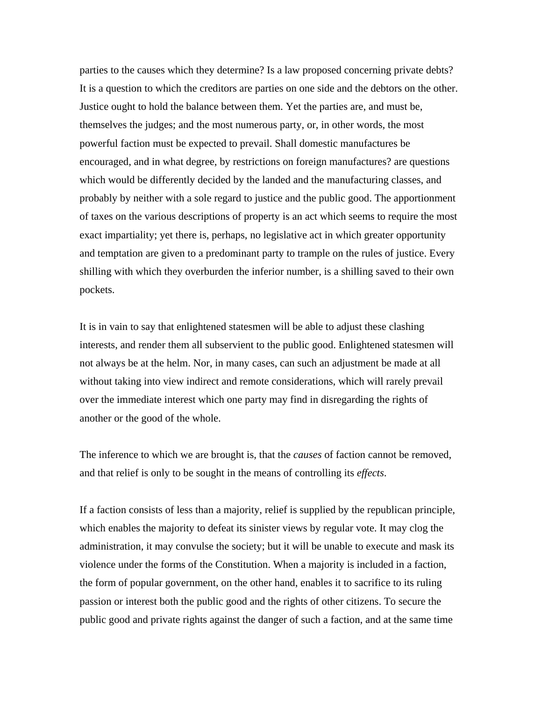parties to the causes which they determine? Is a law proposed concerning private debts? It is a question to which the creditors are parties on one side and the debtors on the other. Justice ought to hold the balance between them. Yet the parties are, and must be, themselves the judges; and the most numerous party, or, in other words, the most powerful faction must be expected to prevail. Shall domestic manufactures be encouraged, and in what degree, by restrictions on foreign manufactures? are questions which would be differently decided by the landed and the manufacturing classes, and probably by neither with a sole regard to justice and the public good. The apportionment of taxes on the various descriptions of property is an act which seems to require the most exact impartiality; yet there is, perhaps, no legislative act in which greater opportunity and temptation are given to a predominant party to trample on the rules of justice. Every shilling with which they overburden the inferior number, is a shilling saved to their own pockets.

It is in vain to say that enlightened statesmen will be able to adjust these clashing interests, and render them all subservient to the public good. Enlightened statesmen will not always be at the helm. Nor, in many cases, can such an adjustment be made at all without taking into view indirect and remote considerations, which will rarely prevail over the immediate interest which one party may find in disregarding the rights of another or the good of the whole.

The inference to which we are brought is, that the *causes* of faction cannot be removed, and that relief is only to be sought in the means of controlling its *effects*.

If a faction consists of less than a majority, relief is supplied by the republican principle, which enables the majority to defeat its sinister views by regular vote. It may clog the administration, it may convulse the society; but it will be unable to execute and mask its violence under the forms of the Constitution. When a majority is included in a faction, the form of popular government, on the other hand, enables it to sacrifice to its ruling passion or interest both the public good and the rights of other citizens. To secure the public good and private rights against the danger of such a faction, and at the same time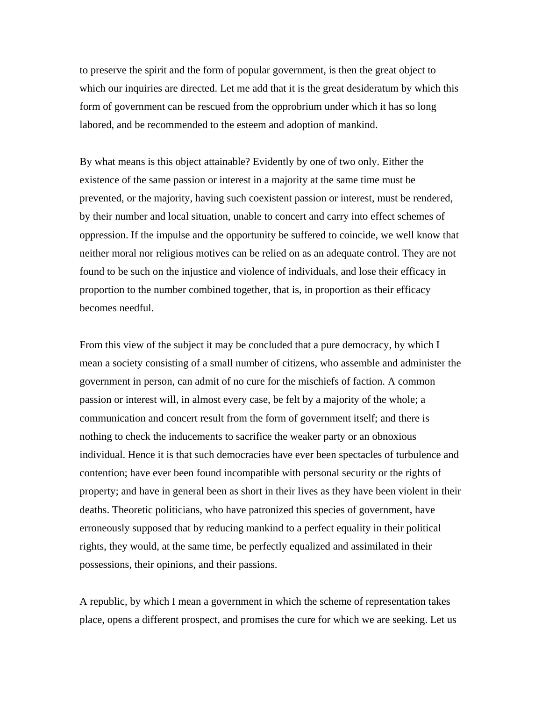to preserve the spirit and the form of popular government, is then the great object to which our inquiries are directed. Let me add that it is the great desideratum by which this form of government can be rescued from the opprobrium under which it has so long labored, and be recommended to the esteem and adoption of mankind.

By what means is this object attainable? Evidently by one of two only. Either the existence of the same passion or interest in a majority at the same time must be prevented, or the majority, having such coexistent passion or interest, must be rendered, by their number and local situation, unable to concert and carry into effect schemes of oppression. If the impulse and the opportunity be suffered to coincide, we well know that neither moral nor religious motives can be relied on as an adequate control. They are not found to be such on the injustice and violence of individuals, and lose their efficacy in proportion to the number combined together, that is, in proportion as their efficacy becomes needful.

From this view of the subject it may be concluded that a pure democracy, by which I mean a society consisting of a small number of citizens, who assemble and administer the government in person, can admit of no cure for the mischiefs of faction. A common passion or interest will, in almost every case, be felt by a majority of the whole; a communication and concert result from the form of government itself; and there is nothing to check the inducements to sacrifice the weaker party or an obnoxious individual. Hence it is that such democracies have ever been spectacles of turbulence and contention; have ever been found incompatible with personal security or the rights of property; and have in general been as short in their lives as they have been violent in their deaths. Theoretic politicians, who have patronized this species of government, have erroneously supposed that by reducing mankind to a perfect equality in their political rights, they would, at the same time, be perfectly equalized and assimilated in their possessions, their opinions, and their passions.

A republic, by which I mean a government in which the scheme of representation takes place, opens a different prospect, and promises the cure for which we are seeking. Let us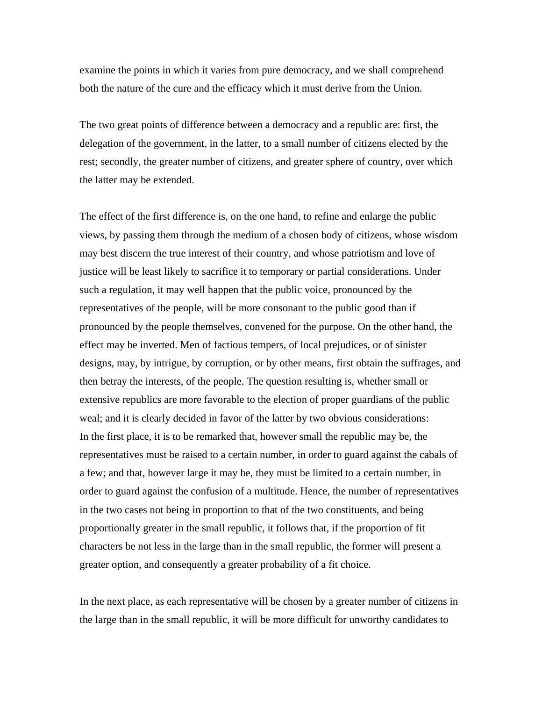examine the points in which it varies from pure democracy, and we shall comprehend both the nature of the cure and the efficacy which it must derive from the Union.

The two great points of difference between a democracy and a republic are: first, the delegation of the government, in the latter, to a small number of citizens elected by the rest; secondly, the greater number of citizens, and greater sphere of country, over which the latter may be extended.

The effect of the first difference is, on the one hand, to refine and enlarge the public views, by passing them through the medium of a chosen body of citizens, whose wisdom may best discern the true interest of their country, and whose patriotism and love of justice will be least likely to sacrifice it to temporary or partial considerations. Under such a regulation, it may well happen that the public voice, pronounced by the representatives of the people, will be more consonant to the public good than if pronounced by the people themselves, convened for the purpose. On the other hand, the effect may be inverted. Men of factious tempers, of local prejudices, or of sinister designs, may, by intrigue, by corruption, or by other means, first obtain the suffrages, and then betray the interests, of the people. The question resulting is, whether small or extensive republics are more favorable to the election of proper guardians of the public weal; and it is clearly decided in favor of the latter by two obvious considerations: In the first place, it is to be remarked that, however small the republic may be, the representatives must be raised to a certain number, in order to guard against the cabals of a few; and that, however large it may be, they must be limited to a certain number, in order to guard against the confusion of a multitude. Hence, the number of representatives in the two cases not being in proportion to that of the two constituents, and being proportionally greater in the small republic, it follows that, if the proportion of fit characters be not less in the large than in the small republic, the former will present a greater option, and consequently a greater probability of a fit choice.

In the next place, as each representative will be chosen by a greater number of citizens in the large than in the small republic, it will be more difficult for unworthy candidates to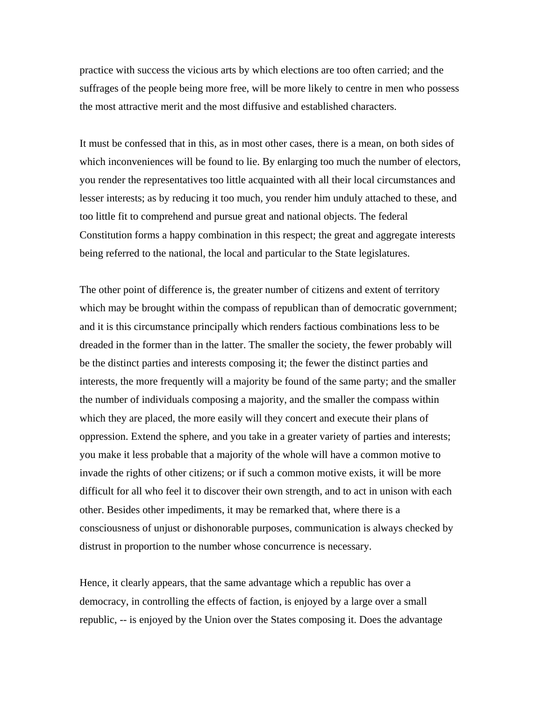practice with success the vicious arts by which elections are too often carried; and the suffrages of the people being more free, will be more likely to centre in men who possess the most attractive merit and the most diffusive and established characters.

It must be confessed that in this, as in most other cases, there is a mean, on both sides of which inconveniences will be found to lie. By enlarging too much the number of electors, you render the representatives too little acquainted with all their local circumstances and lesser interests; as by reducing it too much, you render him unduly attached to these, and too little fit to comprehend and pursue great and national objects. The federal Constitution forms a happy combination in this respect; the great and aggregate interests being referred to the national, the local and particular to the State legislatures.

The other point of difference is, the greater number of citizens and extent of territory which may be brought within the compass of republican than of democratic government; and it is this circumstance principally which renders factious combinations less to be dreaded in the former than in the latter. The smaller the society, the fewer probably will be the distinct parties and interests composing it; the fewer the distinct parties and interests, the more frequently will a majority be found of the same party; and the smaller the number of individuals composing a majority, and the smaller the compass within which they are placed, the more easily will they concert and execute their plans of oppression. Extend the sphere, and you take in a greater variety of parties and interests; you make it less probable that a majority of the whole will have a common motive to invade the rights of other citizens; or if such a common motive exists, it will be more difficult for all who feel it to discover their own strength, and to act in unison with each other. Besides other impediments, it may be remarked that, where there is a consciousness of unjust or dishonorable purposes, communication is always checked by distrust in proportion to the number whose concurrence is necessary.

Hence, it clearly appears, that the same advantage which a republic has over a democracy, in controlling the effects of faction, is enjoyed by a large over a small republic, -- is enjoyed by the Union over the States composing it. Does the advantage